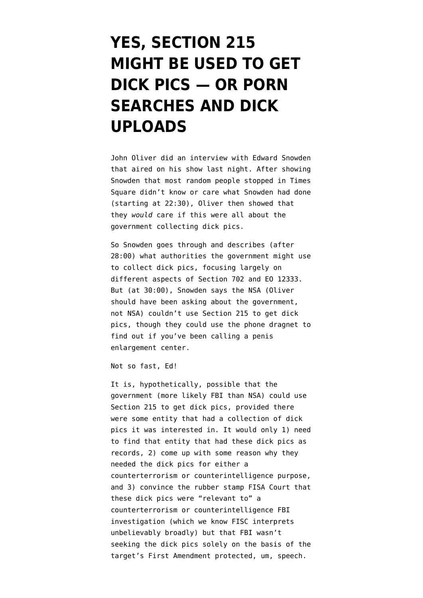## **[YES, SECTION 215](https://www.emptywheel.net/2015/04/06/yes-section-215-might-be-used-to-get-dick-pics-or-porn-searches-and-dick-uploads/) [MIGHT BE USED TO GET](https://www.emptywheel.net/2015/04/06/yes-section-215-might-be-used-to-get-dick-pics-or-porn-searches-and-dick-uploads/) [DICK PICS — OR PORN](https://www.emptywheel.net/2015/04/06/yes-section-215-might-be-used-to-get-dick-pics-or-porn-searches-and-dick-uploads/) [SEARCHES AND DICK](https://www.emptywheel.net/2015/04/06/yes-section-215-might-be-used-to-get-dick-pics-or-porn-searches-and-dick-uploads/) [UPLOADS](https://www.emptywheel.net/2015/04/06/yes-section-215-might-be-used-to-get-dick-pics-or-porn-searches-and-dick-uploads/)**

John Oliver did an interview with Edward Snowden that aired on his show last night. After showing Snowden that most random people stopped in Times Square didn't know or care what Snowden had done (starting at 22:30), Oliver then showed that they *would* care if this were all about the government collecting dick pics.

So Snowden goes through and describes (after 28:00) what authorities the government might use to collect dick pics, focusing largely on different aspects of Section 702 and EO 12333. But (at 30:00), Snowden says the NSA (Oliver should have been asking about the government, not NSA) couldn't use Section 215 to get dick pics, though they could use the phone dragnet to find out if you've been calling a penis enlargement center.

Not so fast, Ed!

It is, hypothetically, possible that the government (more likely FBI than NSA) could use Section 215 to get dick pics, provided there were some entity that had a collection of dick pics it was interested in. It would only 1) need to find that entity that had these dick pics as records, 2) come up with some reason why they needed the dick pics for either a counterterrorism or counterintelligence purpose, and 3) convince the rubber stamp FISA Court that these dick pics were "relevant to" a counterterrorism or counterintelligence FBI investigation (which we know FISC interprets unbelievably broadly) but that FBI wasn't seeking the dick pics solely on the basis of the target's First Amendment protected, um, speech.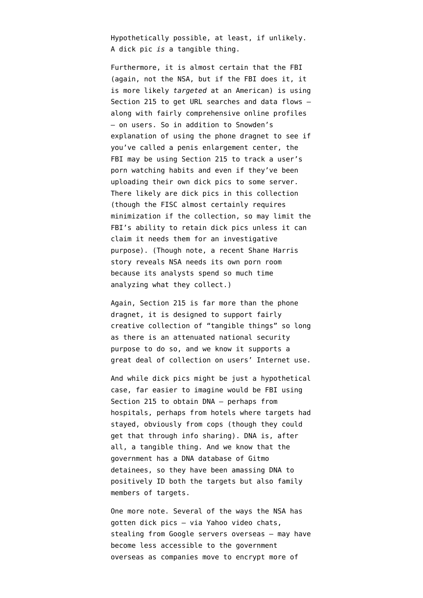Hypothetically possible, at least, if unlikely. A dick pic *is* a tangible thing.

Furthermore, [it is almost certain](https://www.emptywheel.net/2015/03/29/the-nsl-to-215-collection-data-flows-and-urls/) that the FBI (again, not the NSA, but if the FBI does it, it is more likely *targeted* at an American) is using Section 215 to get URL searches and data flows along with fairly comprehensive online profiles — on users. So in addition to Snowden's explanation of using the phone dragnet to see if you've called a penis enlargement center, the FBI may be using Section 215 to track a user's porn watching habits and even if they've been uploading their own dick pics to some server. There likely are dick pics in this collection (though the FISC almost certainly requires minimization if the collection, so may limit the FBI's ability to retain dick pics unless it can claim it needs them for an investigative purpose). (Though note, a recent [Shane Harris](http://www.thedailybeast.com/articles/2015/04/04/the-shrinks-who-only-see-cia-officers.html) [story](http://www.thedailybeast.com/articles/2015/04/04/the-shrinks-who-only-see-cia-officers.html) reveals NSA needs its own porn room because its analysts spend so much time analyzing what they collect.)

Again, Section 215 is far more than the phone dragnet, it is designed to support fairly creative collection of "tangible things" so long as there is an attenuated national security purpose to do so, and we know it supports a great deal of collection on users' Internet use.

And while dick pics might be just a hypothetical case, far easier to imagine would be FBI using Section 215 to obtain DNA — perhaps from hospitals, perhaps from hotels where targets had stayed, obviously from cops (though they could get that through info sharing). DNA is, after all, a tangible thing. And we know that the government has a DNA database of Gitmo detainees, so they have been amassing DNA to positively ID both the targets but also family members of targets.

One more note. Several of the ways the NSA has gotten dick pics — via Yahoo video chats, stealing from Google servers overseas — may have become less accessible to the government overseas as companies move to encrypt more of